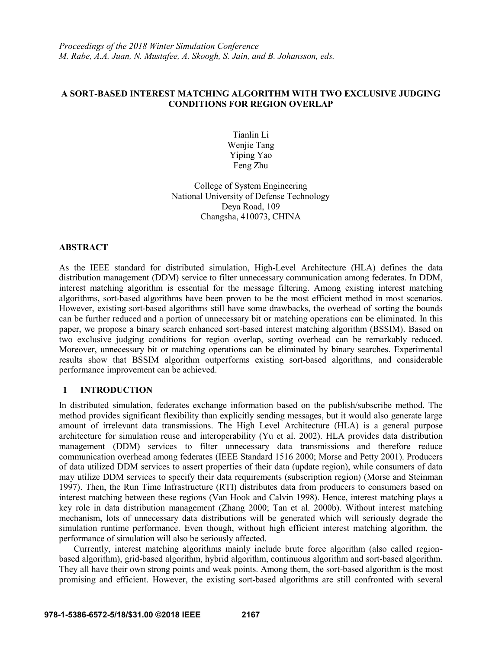*Proceedings of the 2018 Winter Simulation Conference M. Rabe, A.A. Juan, N. Mustafee, A. Skoogh, S. Jain, and B. Johansson, eds.*

## **A SORT-BASED INTEREST MATCHING ALGORITHM WITH TWO EXCLUSIVE JUDGING CONDITIONS FOR REGION OVERLAP**

Tianlin Li Wenjie Tang Yiping Yao Feng Zhu

College of System Engineering National University of Defense Technology Deya Road, 109 Changsha, 410073, CHINA

# **ABSTRACT**

As the IEEE standard for distributed simulation, High-Level Architecture (HLA) defines the data distribution management (DDM) service to filter unnecessary communication among federates. In DDM, interest matching algorithm is essential for the message filtering. Among existing interest matching algorithms, sort-based algorithms have been proven to be the most efficient method in most scenarios. However, existing sort-based algorithms still have some drawbacks, the overhead of sorting the bounds can be further reduced and a portion of unnecessary bit or matching operations can be eliminated. In this paper, we propose a binary search enhanced sort-based interest matching algorithm (BSSIM). Based on two exclusive judging conditions for region overlap, sorting overhead can be remarkably reduced. Moreover, unnecessary bit or matching operations can be eliminated by binary searches. Experimental results show that BSSIM algorithm outperforms existing sort-based algorithms, and considerable performance improvement can be achieved.

# **1 INTRODUCTION**

In distributed simulation, federates exchange information based on the publish/subscribe method. The method provides significant flexibility than explicitly sending messages, but it would also generate large amount of irrelevant data transmissions. The High Level Architecture (HLA) is a general purpose architecture for simulation reuse and interoperability (Yu et al. 2002). HLA provides data distribution management (DDM) services to filter unnecessary data transmissions and therefore reduce communication overhead among federates (IEEE Standard 1516 2000; Morse and Petty 2001). Producers of data utilized DDM services to assert properties of their data (update region), while consumers of data may utilize DDM services to specify their data requirements (subscription region) (Morse and Steinman 1997). Then, the Run Time Infrastructure (RTI) distributes data from producers to consumers based on interest matching between these regions (Van Hook and Calvin 1998). Hence, interest matching plays a key role in data distribution management (Zhang 2000; Tan et al. 2000b). Without interest matching mechanism, lots of unnecessary data distributions will be generated which will seriously degrade the simulation runtime performance. Even though, without high efficient interest matching algorithm, the performance of simulation will also be seriously affected.

Currently, interest matching algorithms mainly include brute force algorithm (also called regionbased algorithm), grid-based algorithm, hybrid algorithm, continuous algorithm and sort-based algorithm. They all have their own strong points and weak points. Among them, the sort-based algorithm is the most promising and efficient. However, the existing sort-based algorithms are still confronted with several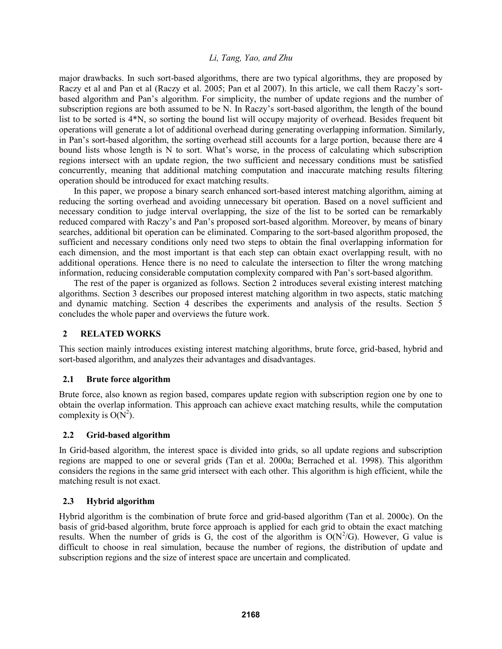major drawbacks. In such sort-based algorithms, there are two typical algorithms, they are proposed by Raczy et al and Pan et al (Raczy et al. 2005; Pan et al 2007). In this article, we call them Raczy's sortbased algorithm and Pan's algorithm. For simplicity, the number of update regions and the number of subscription regions are both assumed to be N. In Raczy's sort-based algorithm, the length of the bound list to be sorted is 4\*N, so sorting the bound list will occupy majority of overhead. Besides frequent bit operations will generate a lot of additional overhead during generating overlapping information. Similarly, in Pan's sort-based algorithm, the sorting overhead still accounts for a large portion, because there are 4 bound lists whose length is N to sort. What's worse, in the process of calculating which subscription regions intersect with an update region, the two sufficient and necessary conditions must be satisfied concurrently, meaning that additional matching computation and inaccurate matching results filtering operation should be introduced for exact matching results.

In this paper, we propose a binary search enhanced sort-based interest matching algorithm, aiming at reducing the sorting overhead and avoiding unnecessary bit operation. Based on a novel sufficient and necessary condition to judge interval overlapping, the size of the list to be sorted can be remarkably reduced compared with Raczy's and Pan's proposed sort-based algorithm. Moreover, by means of binary searches, additional bit operation can be eliminated. Comparing to the sort-based algorithm proposed, the sufficient and necessary conditions only need two steps to obtain the final overlapping information for each dimension, and the most important is that each step can obtain exact overlapping result, with no additional operations. Hence there is no need to calculate the intersection to filter the wrong matching information, reducing considerable computation complexity compared with Pan's sort-based algorithm.

The rest of the paper is organized as follows. Section 2 introduces several existing interest matching algorithms. Section 3 describes our proposed interest matching algorithm in two aspects, static matching and dynamic matching. Section 4 describes the experiments and analysis of the results. Section 5 concludes the whole paper and overviews the future work.

# **2 RELATED WORKS**

This section mainly introduces existing interest matching algorithms, brute force, grid-based, hybrid and sort-based algorithm, and analyzes their advantages and disadvantages.

# **2.1 Brute force algorithm**

Brute force, also known as region based, compares update region with subscription region one by one to obtain the overlap information. This approach can achieve exact matching results, while the computation complexity is  $O(N^2)$ .

# **2.2 Grid-based algorithm**

In Grid-based algorithm, the interest space is divided into grids, so all update regions and subscription regions are mapped to one or several grids (Tan et al. 2000a; Berrached et al. 1998). This algorithm considers the regions in the same grid intersect with each other. This algorithm is high efficient, while the matching result is not exact.

# **2.3 Hybrid algorithm**

Hybrid algorithm is the combination of brute force and grid-based algorithm (Tan et al. 2000c). On the basis of grid-based algorithm, brute force approach is applied for each grid to obtain the exact matching results. When the number of grids is G, the cost of the algorithm is  $O(N^2/G)$ . However, G value is difficult to choose in real simulation, because the number of regions, the distribution of update and subscription regions and the size of interest space are uncertain and complicated.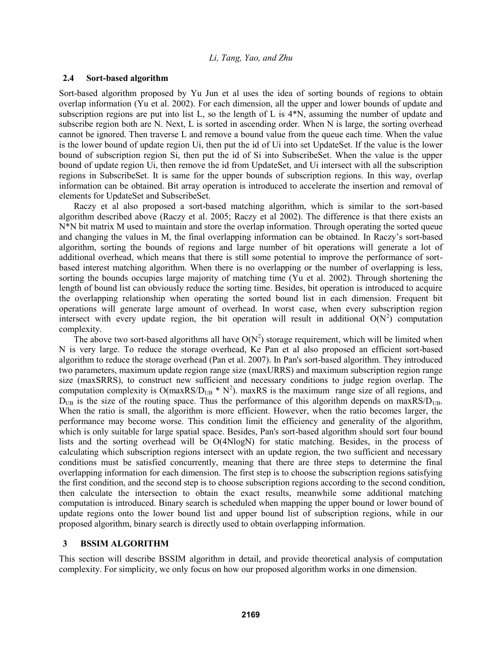### **2.4 Sort-based algorithm**

Sort-based algorithm proposed by Yu Jun et al uses the idea of sorting bounds of regions to obtain overlap information (Yu et al. 2002). For each dimension, all the upper and lower bounds of update and subscription regions are put into list L, so the length of L is 4\*N, assuming the number of update and subscribe region both are N. Next, L is sorted in ascending order. When N is large, the sorting overhead cannot be ignored. Then traverse L and remove a bound value from the queue each time. When the value is the lower bound of update region Ui, then put the id of Ui into set UpdateSet. If the value is the lower bound of subscription region Si, then put the id of Si into SubscribeSet. When the value is the upper bound of update region Ui, then remove the id from UpdateSet, and Ui intersect with all the subscription regions in SubscribeSet. It is same for the upper bounds of subscription regions. In this way, overlap information can be obtained. Bit array operation is introduced to accelerate the insertion and removal of elements for UpdateSet and SubscribeSet.

Raczy et al also proposed a sort-based matching algorithm, which is similar to the sort-based algorithm described above (Raczy et al. 2005; Raczy et al 2002). The difference is that there exists an N\*N bit matrix M used to maintain and store the overlap information. Through operating the sorted queue and changing the values in M, the final overlapping information can be obtained. In Raczy's sort-based algorithm, sorting the bounds of regions and large number of bit operations will generate a lot of additional overhead, which means that there is still some potential to improve the performance of sortbased interest matching algorithm. When there is no overlapping or the number of overlapping is less, sorting the bounds occupies large majority of matching time (Yu et al. 2002). Through shortening the length of bound list can obviously reduce the sorting time. Besides, bit operation is introduced to acquire the overlapping relationship when operating the sorted bound list in each dimension. Frequent bit operations will generate large amount of overhead. In worst case, when every subscription region intersect with every update region, the bit operation will result in additional  $O(N^2)$  computation complexity.

The above two sort-based algorithms all have  $O(N^2)$  storage requirement, which will be limited when N is very large. To reduce the storage overhead, Ke Pan et al also proposed an efficient sort-based algorithm to reduce the storage overhead (Pan et al. 2007). In Pan's sort-based algorithm. They introduced two parameters, maximum update region range size (maxURRS) and maximum subscription region range size (maxSRRS), to construct new sufficient and necessary conditions to judge region overlap. The computation complexity is  $O(maxRS/D_{UB} * N^2)$ . maxRS is the maximum range size of all regions, and  $D_{\text{UB}}$  is the size of the routing space. Thus the performance of this algorithm depends on maxRS/ $D_{\text{UB}}$ . When the ratio is small, the algorithm is more efficient. However, when the ratio becomes larger, the performance may become worse. This condition limit the efficiency and generality of the algorithm, which is only suitable for large spatial space. Besides, Pan's sort-based algorithm should sort four bound lists and the sorting overhead will be O(4NlogN) for static matching. Besides, in the process of calculating which subscription regions intersect with an update region, the two sufficient and necessary conditions must be satisfied concurrently, meaning that there are three steps to determine the final overlapping information for each dimension. The first step is to choose the subscription regions satisfying the first condition, and the second step is to choose subscription regions according to the second condition, then calculate the intersection to obtain the exact results, meanwhile some additional matching computation is introduced. Binary search is scheduled when mapping the upper bound or lower bound of update regions onto the lower bound list and upper bound list of subscription regions, while in our proposed algorithm, binary search is directly used to obtain overlapping information.

### **3 BSSIM ALGORITHM**

This section will describe BSSIM algorithm in detail, and provide theoretical analysis of computation complexity. For simplicity, we only focus on how our proposed algorithm works in one dimension.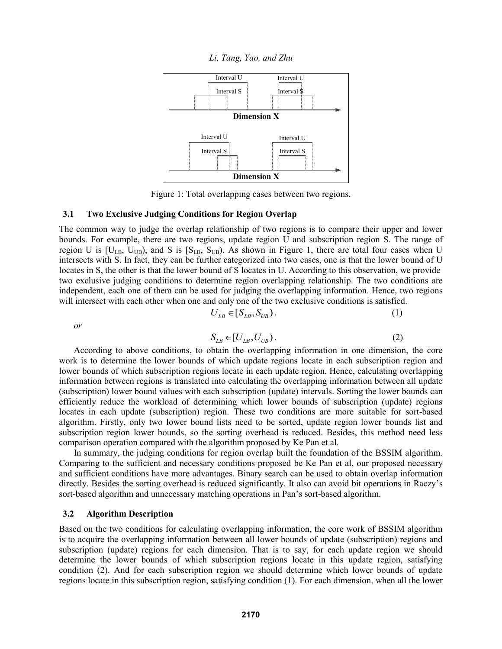*Li, Tang, Yao, and Zhu*



Figure 1: Total overlapping cases between two regions.

#### **3.1 Two Exclusive Judging Conditions for Region Overlap**

The common way to judge the overlap relationship of two regions is to compare their upper and lower bounds. For example, there are two regions, update region U and subscription region S. The range of region U is  $[U_{LB}, U_{UB}]$ , and S is  $[S_{LB}, S_{UB}]$ . As shown in Figure 1, there are total four cases when U intersects with S. In fact, they can be further categorized into two cases, one is that the lower bound of U locates in S, the other is that the lower bound of S locates in U. According to this observation, we provide two exclusive judging conditions to determine region overlapping relationship. The two conditions are independent, each one of them can be used for judging the overlapping information. Hence, two regions will intersect with each other when one and only one of the two exclusive conditions is satisfied.

$$
U_{LB} \in [S_{LB}, S_{UB}). \tag{1}
$$

*or*

$$
S_{LB} \in [U_{LB}, U_{UB}) \,.
$$
 (2)

According to above conditions, to obtain the overlapping information in one dimension, the core work is to determine the lower bounds of which update regions locate in each subscription region and lower bounds of which subscription regions locate in each update region. Hence, calculating overlapping information between regions is translated into calculating the overlapping information between all update (subscription) lower bound values with each subscription (update) intervals. Sorting the lower bounds can efficiently reduce the workload of determining which lower bounds of subscription (update) regions locates in each update (subscription) region. These two conditions are more suitable for sort-based algorithm. Firstly, only two lower bound lists need to be sorted, update region lower bounds list and subscription region lower bounds, so the sorting overhead is reduced. Besides, this method need less comparison operation compared with the algorithm proposed by Ke Pan et al.

In summary, the judging conditions for region overlap built the foundation of the BSSIM algorithm. Comparing to the sufficient and necessary conditions proposed be Ke Pan et al, our proposed necessary and sufficient conditions have more advantages. Binary search can be used to obtain overlap information directly. Besides the sorting overhead is reduced significantly. It also can avoid bit operations in Raczy's sort-based algorithm and unnecessary matching operations in Pan's sort-based algorithm.

### **3.2 Algorithm Description**

Based on the two conditions for calculating overlapping information, the core work of BSSIM algorithm is to acquire the overlapping information between all lower bounds of update (subscription) regions and subscription (update) regions for each dimension. That is to say, for each update region we should determine the lower bounds of which subscription regions locate in this update region, satisfying condition (2). And for each subscription region we should determine which lower bounds of update regions locate in this subscription region, satisfying condition (1). For each dimension, when all the lower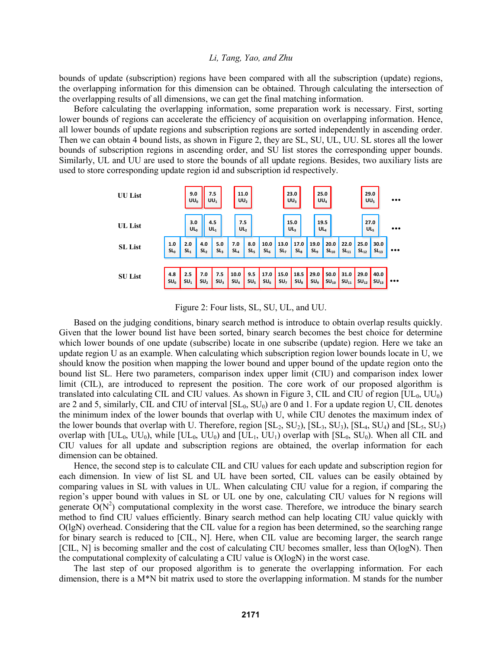bounds of update (subscription) regions have been compared with all the subscription (update) regions, the overlapping information for this dimension can be obtained. Through calculating the intersection of the overlapping results of all dimensions, we can get the final matching information.

Before calculating the overlapping information, some preparation work is necessary. First, sorting lower bounds of regions can accelerate the efficiency of acquisition on overlapping information. Hence, all lower bounds of update regions and subscription regions are sorted independently in ascending order. Then we can obtain 4 bound lists, as shown in Figure 2, they are SL, SU, UL, UU. SL stores all the lower bounds of subscription regions in ascending order, and SU list stores the corresponding upper bounds. Similarly, UL and UU are used to store the bounds of all update regions. Besides, two auxiliary lists are used to store corresponding update region id and subscription id respectively.



Figure 2: Four lists, SL, SU, UL, and UU.

Based on the judging conditions, binary search method is introduce to obtain overlap results quickly. Given that the lower bound list have been sorted, binary search becomes the best choice for determine which lower bounds of one update (subscribe) locate in one subscribe (update) region. Here we take an update region U as an example. When calculating which subscription region lower bounds locate in U, we should know the position when mapping the lower bound and upper bound of the update region onto the bound list SL. Here two parameters, comparison index upper limit (CIU) and comparison index lower limit (CIL), are introduced to represent the position. The core work of our proposed algorithm is translated into calculating CIL and CIU values. As shown in Figure 3, CIL and CIU of region  $[UL_0, UU_0]$ are 2 and 5, similarly, CIL and CIU of interval  $[SL_0, SU_0)$  are 0 and 1. For a update region U, CIL denotes the minimum index of the lower bounds that overlap with U, while CIU denotes the maximum index of the lower bounds that overlap with U. Therefore, region  $[SL_2, SU_2)$ ,  $[SL_3, SU_3)$ ,  $[SL_4, SU_4)$  and  $[SL_5, SU_5)$ overlap with  $[UL_0, UU_0)$ , while  $[UL_0, UU_0)$  and  $[UL_1, UU_1)$  overlap with  $[SL_0, SU_0)$ . When all CIL and CIU values for all update and subscription regions are obtained, the overlap information for each dimension can be obtained.

Hence, the second step is to calculate CIL and CIU values for each update and subscription region for each dimension. In view of list SL and UL have been sorted, CIL values can be easily obtained by comparing values in SL with values in UL. When calculating CIU value for a region, if comparing the region's upper bound with values in SL or UL one by one, calculating CIU values for N regions will generate  $\widehat{O}(N^2)$  computational complexity in the worst case. Therefore, we introduce the binary search method to find CIU values efficiently. Binary search method can help locating CIU value quickly with O(lgN) overhead. Considering that the CIL value for a region has been determined, so the searching range for binary search is reduced to [CIL, N]. Here, when CIL value are becoming larger, the search range [CIL, N] is becoming smaller and the cost of calculating CIU becomes smaller, less than O(logN). Then the computational complexity of calculating a CIU value is O(logN) in the worst case.

The last step of our proposed algorithm is to generate the overlapping information. For each dimension, there is a M\*N bit matrix used to store the overlapping information. M stands for the number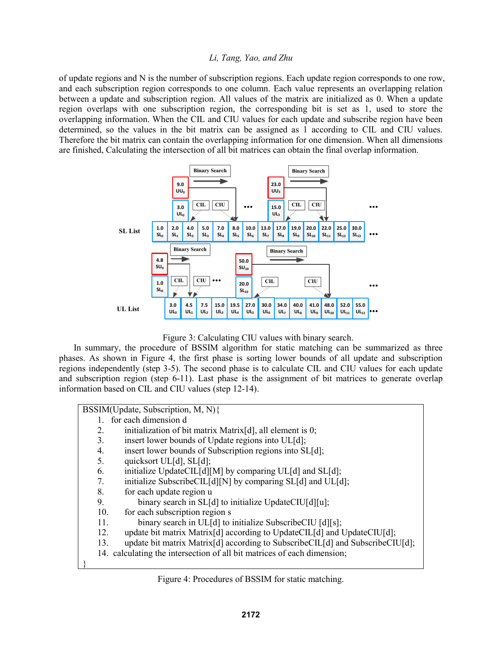of update regions and N is the number of subscription regions. Each update region corresponds to one row, and each subscription region corresponds to one column. Each value represents an overlapping relation between a update and subscription region. All values of the matrix are initialized as 0. When a update region overlaps with one subscription region, the corresponding bit is set as 1, used to store the overlapping information. When the CIL and CIU values for each update and subscribe region have been determined, so the values in the bit matrix can be assigned as 1 according to CIL and CIU values. Therefore the bit matrix can contain the overlapping information for one dimension. When all dimensions are finished, Calculating the intersection of all bit matrices can obtain the final overlap information.



Figure 3: Calculating CIU values with binary search.

In summary, the procedure of BSSIM algorithm for static matching can be summarized as three phases. As shown in Figure 4, the first phase is sorting lower bounds of all update and subscription regions independently (step 3-5). The second phase is to calculate CIL and CIU values for each update and subscription region (step 6-11). Last phase is the assignment of bit matrices to generate overlap information based on CIL and CIU values (step 12-14).

```
BSSIM(Update, Subscription, M, N){
   1. for each dimension d
   2. initialization of bit matrix Matrix[d], all element is 0;
   3. insert lower bounds of Update regions into UL[d];
   4. insert lower bounds of Subscription regions into SL[d];
   5. quicksort UL[d], SL[d];
   6. initialize UpdateCIL[d][M] by comparing UL[d] and SL[d];
   7. initialize SubscribeCIL[d][N] by comparing SL[d] and UL[d];
   8. for each update region u
   9. binary search in SL[d] to initialize UpdateCIU[d][u];
   10. for each subscription region s
   11. binary search in UL[d] to initialize SubscribeCIU [d][s];
   12. update bit matrix Matrix[d] according to UpdateCIL[d] and UpdateCIU[d];
   13. update bit matrix Matrix[d] according to SubscribeCIL[d] and SubscribeCIU[d];
   14. calculating the intersection of all bit matrices of each dimension;
}
```
# Figure 4: Procedures of BSSIM for static matching.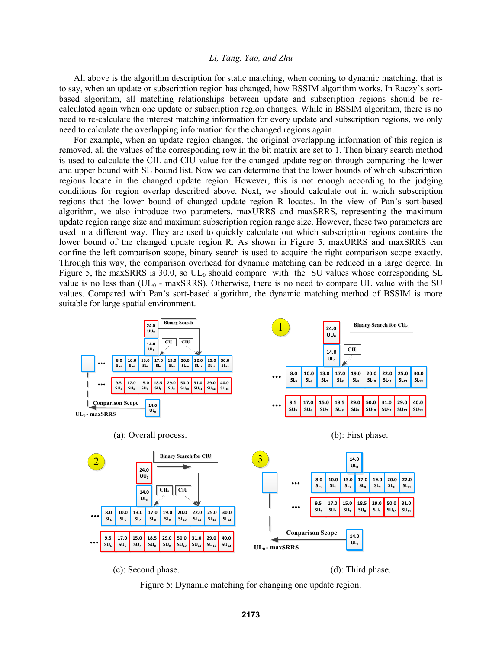All above is the algorithm description for static matching, when coming to dynamic matching, that is to say, when an update or subscription region has changed, how BSSIM algorithm works. In Raczy's sortbased algorithm, all matching relationships between update and subscription regions should be recalculated again when one update or subscription region changes. While in BSSIM algorithm, there is no need to re-calculate the interest matching information for every update and subscription regions, we only need to calculate the overlapping information for the changed regions again.

For example, when an update region changes, the original overlapping information of this region is removed, all the values of the corresponding row in the bit matrix are set to 1. Then binary search method is used to calculate the CIL and CIU value for the changed update region through comparing the lower and upper bound with SL bound list. Now we can determine that the lower bounds of which subscription regions locate in the changed update region. However, this is not enough according to the judging conditions for region overlap described above. Next, we should calculate out in which subscription regions that the lower bound of changed update region R locates. In the view of Pan's sort-based algorithm, we also introduce two parameters, maxURRS and maxSRRS, representing the maximum update region range size and maximum subscription region range size. However, these two parameters are used in a different way. They are used to quickly calculate out which subscription regions contains the lower bound of the changed update region R. As shown in Figure 5, maxURRS and maxSRRS can confine the left comparison scope, binary search is used to acquire the right comparison scope exactly. Through this way, the comparison overhead for dynamic matching can be reduced in a large degree. In Figure 5, the maxSRRS is 30.0, so  $UL_0$  should compare with the SU values whose corresponding SL value is no less than  $(UL<sub>0</sub> - maxSRRS)$ . Otherwise, there is no need to compare UL value with the SU values. Compared with Pan's sort-based algorithm, the dynamic matching method of BSSIM is more suitable for large spatial environment.



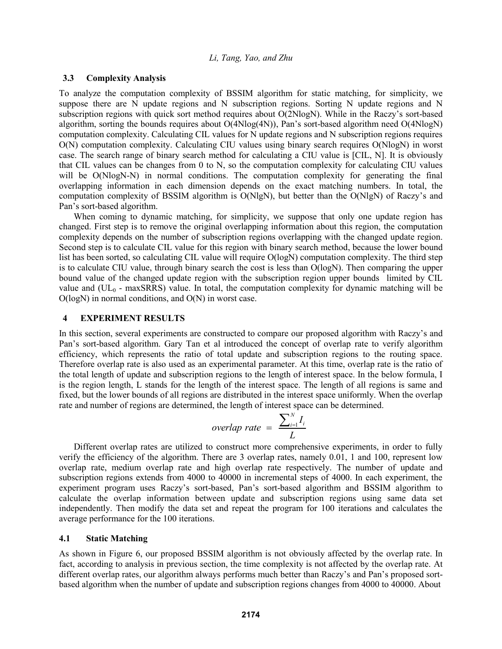## **3.3 Complexity Analysis**

To analyze the computation complexity of BSSIM algorithm for static matching, for simplicity, we suppose there are N update regions and N subscription regions. Sorting N update regions and N subscription regions with quick sort method requires about O(2NlogN). While in the Raczy's sort-based algorithm, sorting the bounds requires about  $O(4N\log(4N))$ , Pan's sort-based algorithm need  $O(4N\log N)$ computation complexity. Calculating CIL values for N update regions and N subscription regions requires O(N) computation complexity. Calculating CIU values using binary search requires O(NlogN) in worst case. The search range of binary search method for calculating a CIU value is [CIL, N]. It is obviously that CIL values can be changes from 0 to N, so the computation complexity for calculating CIU values will be  $O(N \log N - N)$  in normal conditions. The computation complexity for generating the final overlapping information in each dimension depends on the exact matching numbers. In total, the computation complexity of BSSIM algorithm is O(NlgN), but better than the O(NlgN) of Raczy's and Pan's sort-based algorithm.

When coming to dynamic matching, for simplicity, we suppose that only one update region has changed. First step is to remove the original overlapping information about this region, the computation complexity depends on the number of subscription regions overlapping with the changed update region. Second step is to calculate CIL value for this region with binary search method, because the lower bound list has been sorted, so calculating CIL value will require O(logN) computation complexity. The third step is to calculate CIU value, through binary search the cost is less than O(logN). Then comparing the upper bound value of the changed update region with the subscription region upper bounds limited by CIL value and  $(UL_0 - \text{maxSRRS})$  value. In total, the computation complexity for dynamic matching will be  $O(logN)$  in normal conditions, and  $O(N)$  in worst case.

#### **4 EXPERIMENT RESULTS**

In this section, several experiments are constructed to compare our proposed algorithm with Raczy's and Pan's sort-based algorithm. Gary Tan et al introduced the concept of overlap rate to verify algorithm efficiency, which represents the ratio of total update and subscription regions to the routing space. Therefore overlap rate is also used as an experimental parameter. At this time, overlap rate is the ratio of the total length of update and subscription regions to the length of interest space. In the below formula, I is the region length, L stands for the length of the interest space. The length of all regions is same and fixed, but the lower bounds of all regions are distributed in the interest space uniformly. When the overlap rate and number of regions are determined, the length of interest space can be determined.

$$
overlap\ rate\ =\ \frac{\sum_{i=1}^{N}I_i}{L}
$$

Different overlap rates are utilized to construct more comprehensive experiments, in order to fully verify the efficiency of the algorithm. There are 3 overlap rates, namely 0.01, 1 and 100, represent low overlap rate, medium overlap rate and high overlap rate respectively. The number of update and subscription regions extends from 4000 to 40000 in incremental steps of 4000. In each experiment, the experiment program uses Raczy's sort-based, Pan's sort-based algorithm and BSSIM algorithm to calculate the overlap information between update and subscription regions using same data set independently. Then modify the data set and repeat the program for 100 iterations and calculates the average performance for the 100 iterations.

#### **4.1 Static Matching**

As shown in Figure 6, our proposed BSSIM algorithm is not obviously affected by the overlap rate. In fact, according to analysis in previous section, the time complexity is not affected by the overlap rate. At different overlap rates, our algorithm always performs much better than Raczy's and Pan's proposed sortbased algorithm when the number of update and subscription regions changes from 4000 to 40000. About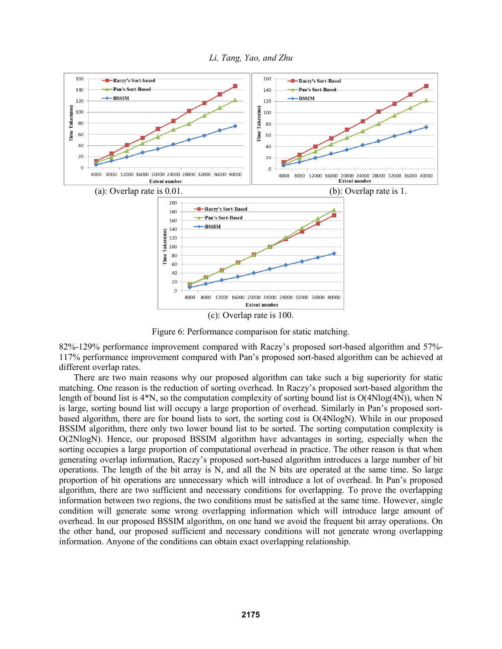

*Li, Tang, Yao, and Zhu*

Figure 6: Performance comparison for static matching.

82%-129% performance improvement compared with Raczy's proposed sort-based algorithm and 57%- 117% performance improvement compared with Pan's proposed sort-based algorithm can be achieved at different overlap rates.

There are two main reasons why our proposed algorithm can take such a big superiority for static matching. One reason is the reduction of sorting overhead. In Raczy's proposed sort-based algorithm the length of bound list is 4\*N, so the computation complexity of sorting bound list is O(4Nlog(4N)), when N is large, sorting bound list will occupy a large proportion of overhead. Similarly in Pan's proposed sortbased algorithm, there are for bound lists to sort, the sorting cost is O(4NlogN). While in our proposed BSSIM algorithm, there only two lower bound list to be sorted. The sorting computation complexity is O(2NlogN). Hence, our proposed BSSIM algorithm have advantages in sorting, especially when the sorting occupies a large proportion of computational overhead in practice. The other reason is that when generating overlap information, Raczy's proposed sort-based algorithm introduces a large number of bit operations. The length of the bit array is  $N$ , and all the  $N$  bits are operated at the same time. So large proportion of bit operations are unnecessary which will introduce a lot of overhead. In Pan's proposed algorithm, there are two sufficient and necessary conditions for overlapping. To prove the overlapping information between two regions, the two conditions must be satisfied at the same time. However, single condition will generate some wrong overlapping information which will introduce large amount of overhead. In our proposed BSSIM algorithm, on one hand we avoid the frequent bit array operations. On the other hand, our proposed sufficient and necessary conditions will not generate wrong overlapping information. Anyone of the conditions can obtain exact overlapping relationship.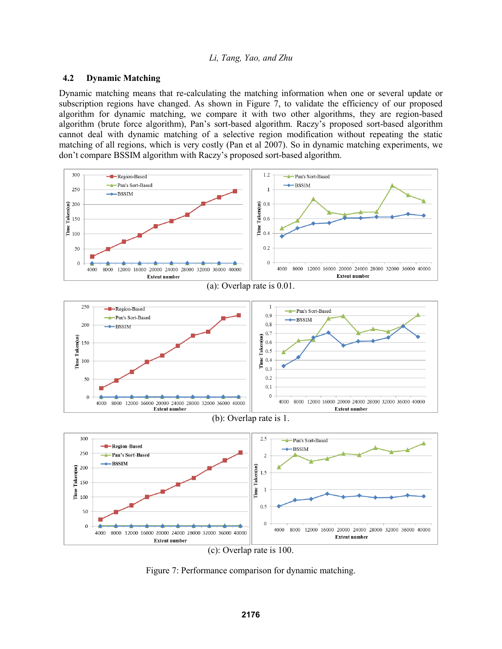# **4.2 Dynamic Matching**

Dynamic matching means that re-calculating the matching information when one or several update or subscription regions have changed. As shown in Figure 7, to validate the efficiency of our proposed algorithm for dynamic matching, we compare it with two other algorithms, they are region-based algorithm (brute force algorithm), Pan's sort-based algorithm. Raczy's proposed sort-based algorithm cannot deal with dynamic matching of a selective region modification without repeating the static matching of all regions, which is very costly (Pan et al 2007). So in dynamic matching experiments, we don't compare BSSIM algorithm with Raczy's proposed sort-based algorithm.



Figure 7: Performance comparison for dynamic matching.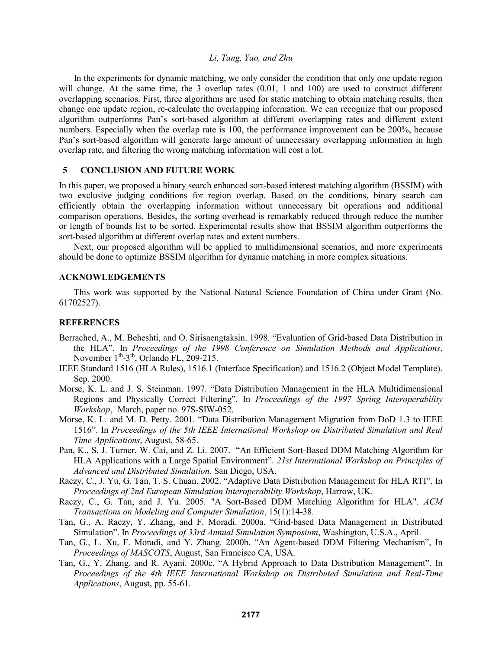In the experiments for dynamic matching, we only consider the condition that only one update region will change. At the same time, the 3 overlap rates (0.01, 1 and 100) are used to construct different overlapping scenarios. First, three algorithms are used for static matching to obtain matching results, then change one update region, re-calculate the overlapping information. We can recognize that our proposed algorithm outperforms Pan's sort-based algorithm at different overlapping rates and different extent numbers. Especially when the overlap rate is 100, the performance improvement can be 200%, because Pan's sort-based algorithm will generate large amount of unnecessary overlapping information in high overlap rate, and filtering the wrong matching information will cost a lot.

# **5 CONCLUSION AND FUTURE WORK**

In this paper, we proposed a binary search enhanced sort-based interest matching algorithm (BSSIM) with two exclusive judging conditions for region overlap. Based on the conditions, binary search can efficiently obtain the overlapping information without unnecessary bit operations and additional comparison operations. Besides, the sorting overhead is remarkably reduced through reduce the number or length of bounds list to be sorted. Experimental results show that BSSIM algorithm outperforms the sort-based algorithm at different overlap rates and extent numbers.

Next, our proposed algorithm will be applied to multidimensional scenarios, and more experiments should be done to optimize BSSIM algorithm for dynamic matching in more complex situations.

### **ACKNOWLEDGEMENTS**

This work was supported by the National Natural Science Foundation of China under Grant (No. 61702527).

### **REFERENCES**

- Berrached, A., M. Beheshti, and O. Sirisaengtaksin. 1998. "Evaluation of Grid-based Data Distribution in the HLA". In *Proceedings of the 1998 Conference on Simulation Methods and Applications*, November  $1^{th}$ -3<sup>th</sup>, Orlando FL, 209-215.
- IEEE Standard 1516 (HLA Rules), 1516.1 (Interface Specification) and 1516.2 (Object Model Template). Sep. 2000.
- Morse, K. L. and J. S. Steinman. 1997. "Data Distribution Management in the HLA Multidimensional Regions and Physically Correct Filtering". In *Proceedings of the 1997 Spring Interoperability Workshop*, March, paper no. 97S-SIW-052.
- Morse, K. L. and M. D. Petty. 2001. "Data Distribution Management Migration from DoD 1.3 to IEEE 1516". In *Proceedings of the 5th IEEE International Workshop on Distributed Simulation and Real Time Applications*, August, 58-65.
- Pan, K., S. J. Turner, W. Cai, and Z. Li. 2007. "An Efficient Sort-Based DDM Matching Algorithm for HLA Applications with a Large Spatial Environment". *21st International Workshop on Principles of Advanced and Distributed Simulation*. San Diego, USA.
- Raczy, C., J. Yu, G. Tan, T. S. Chuan. 2002. "Adaptive Data Distribution Management for HLA RTI". In *Proceedings of 2nd European Simulation Interoperability Workshop*, Harrow, UK.
- Raczy, C., G. Tan, and J. Yu. 2005. "A Sort-Based DDM Matching Algorithm for HLA". *ACM Transactions on Modeling and Computer Simulation*, 15(1):14-38.
- Tan, G., A. Raczy, Y. Zhang, and F. Moradi. 2000a. "Grid-based Data Management in Distributed Simulation". In *Proceedings of 33rd Annual Simulation Symposium*, Washington, U.S.A., April.
- Tan, G., L. Xu, F. Moradi, and Y. Zhang. 2000b. "An Agent-based DDM Filtering Mechanism", In *Proceedings of MASCOTS*, August, San Francisco CA, USA.
- Tan, G., Y. Zhang, and R. Ayani. 2000c. "A Hybrid Approach to Data Distribution Management". In *Proceedings of the 4th IEEE International Workshop on Distributed Simulation and Real-Time Applications*, August, pp. 55-61.